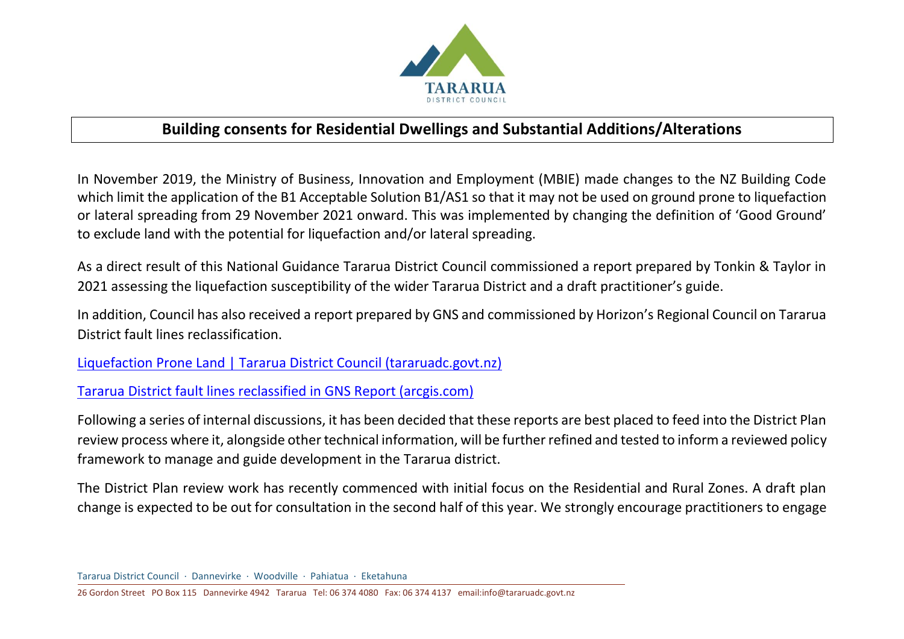

## **Building consents for Residential Dwellings and Substantial Additions/Alterations**

In November 2019, the Ministry of Business, Innovation and Employment (MBIE) made changes to the NZ Building Code which limit the application of the B1 Acceptable Solution B1/AS1 so that it may not be used on ground prone to liquefaction or lateral spreading from 29 November 2021 onward. This was implemented by changing the definition of 'Good Ground' to exclude land with the potential for liquefaction and/or lateral spreading.

As a direct result of this National Guidance Tararua District Council commissioned a report prepared by Tonkin & Taylor in 2021 assessing the liquefaction susceptibility of the wider Tararua District and a draft practitioner's guide.

In addition, Council has also received a report prepared by GNS and commissioned by Horizon's Regional Council on Tararua District fault lines reclassification.

[Liquefaction Prone Land | Tararua District Council \(tararuadc.govt.nz\)](https://www.tararuadc.govt.nz/property/planning-and-resource-consents/liquefaction-prone-land)

[Tararua District fault lines reclassified in GNS Report \(arcgis.com\)](https://storymaps.arcgis.com/stories/40b041e4c05148ad9007716974f57e45)

Following a series of internal discussions, it has been decided that these reports are best placed to feed into the District Plan review process where it, alongside other technical information, will be further refined and tested to inform a reviewed policy framework to manage and guide development in the Tararua district.

The District Plan review work has recently commenced with initial focus on the Residential and Rural Zones. A draft plan change is expected to be out for consultation in the second half of this year. We strongly encourage practitioners to engage

26 Gordon Street PO Box 115 Dannevirke 4942 Tararua Tel: 06 374 4080 Fax: 06 374 4137 email:info@tararuadc.govt.nz

Tararua District Council . Dannevirke . Woodville . Pahiatua . Eketahuna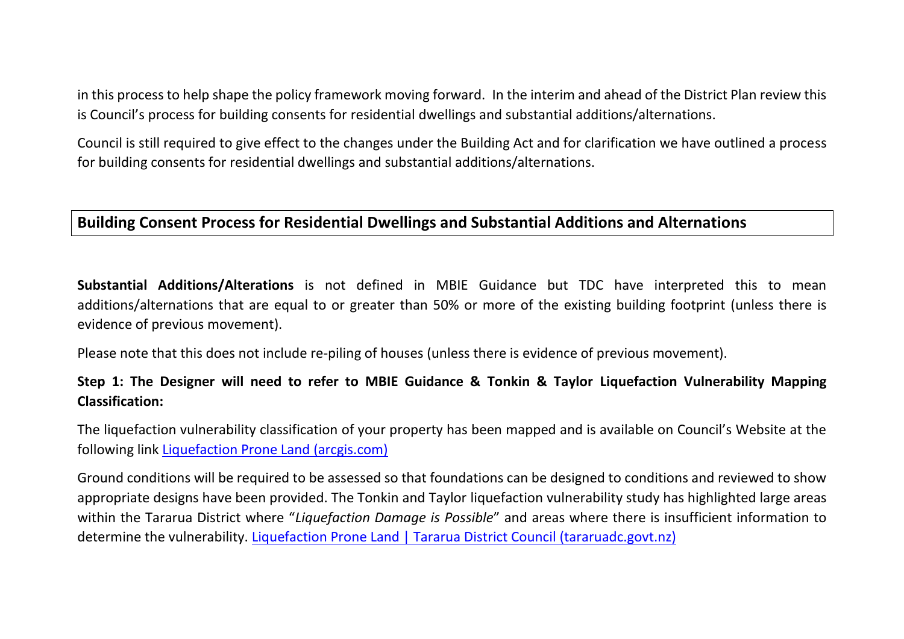in this process to help shape the policy framework moving forward. In the interim and ahead of the District Plan review this is Council's process for building consents for residential dwellings and substantial additions/alternations.

Council is still required to give effect to the changes under the Building Act and for clarification we have outlined a process for building consents for residential dwellings and substantial additions/alternations.

## **Building Consent Process for Residential Dwellings and Substantial Additions and Alternations**

**Substantial Additions/Alterations** is not defined in MBIE Guidance but TDC have interpreted this to mean additions/alternations that are equal to or greater than 50% or more of the existing building footprint (unless there is evidence of previous movement).

Please note that this does not include re-piling of houses (unless there is evidence of previous movement).

## **Step 1: The Designer will need to refer to MBIE Guidance & Tonkin & Taylor Liquefaction Vulnerability Mapping Classification:**

The liquefaction vulnerability classification of your property has been mapped and is available on Council's Website at the following link [Liquefaction Prone Land \(arcgis.com\)](https://storymaps.arcgis.com/stories/10c701e0659249ee87cf81e4d7a4c6e3)

Ground conditions will be required to be assessed so that foundations can be designed to conditions and reviewed to show appropriate designs have been provided. The Tonkin and Taylor liquefaction vulnerability study has highlighted large areas within the Tararua District where "*Liquefaction Damage is Possible*" and areas where there is insufficient information to determine the vulnerability. [Liquefaction Prone Land | Tararua District Council \(tararuadc.govt.nz\)](https://www.tararuadc.govt.nz/property/planning-and-resource-consents/liquefaction-prone-land)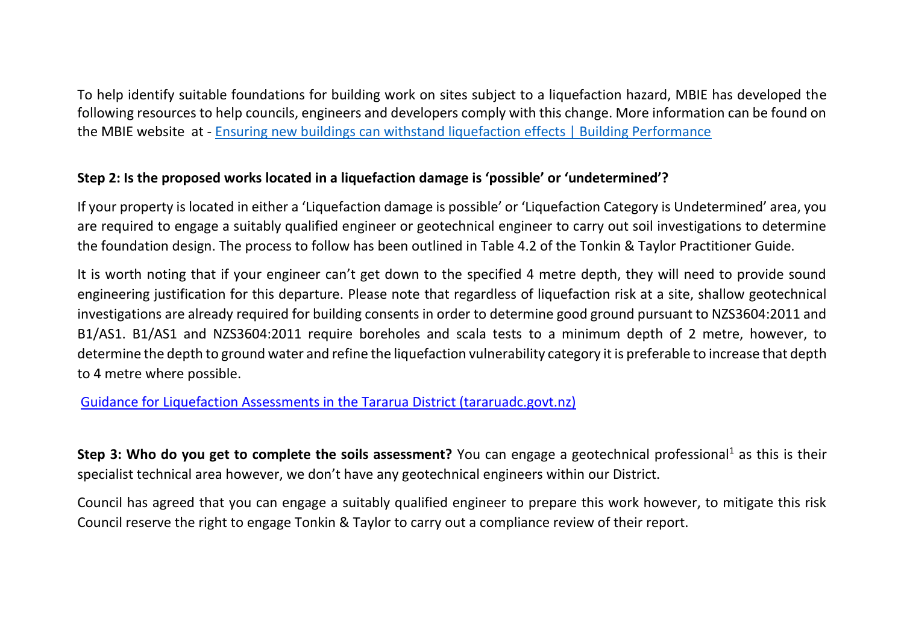To help identify suitable foundations for building work on sites subject to a liquefaction hazard, MBIE has developed the following resources to help councils, engineers and developers comply with this change. More information can be found on the MBIE website at - [Ensuring new buildings can withstand liquefaction effects | Building Performance](https://www.building.govt.nz/building-code-compliance/geotechnical-education/ensuring-new-buildings-can-withstand-liquefaction-risks/)

## **Step 2: Is the proposed works located in a liquefaction damage is 'possible' or 'undetermined'?**

If your property is located in either a 'Liquefaction damage is possible' or 'Liquefaction Category is Undetermined' area, you are required to engage a suitably qualified engineer or geotechnical engineer to carry out soil investigations to determine the foundation design. The process to follow has been outlined in Table 4.2 of the Tonkin & Taylor Practitioner Guide.

It is worth noting that if your engineer can't get down to the specified 4 metre depth, they will need to provide sound engineering justification for this departure. Please note that regardless of liquefaction risk at a site, shallow geotechnical investigations are already required for building consents in order to determine good ground pursuant to NZS3604:2011 and B1/AS1. B1/AS1 and NZS3604:2011 require boreholes and scala tests to a minimum depth of 2 metre, however, to determine the depth to ground water and refine the liquefaction vulnerability category it is preferable to increase that depth to 4 metre where possible.

[Guidance for Liquefaction Assessments in the Tararua District \(tararuadc.govt.nz\)](https://www.tararuadc.govt.nz/__data/assets/pdf_file/0015/14901/2021-12-08-Guidance-for-liquefaction-assessment-in-Tararua-District.pdf)

**Step 3: Who do you get to complete the soils assessment?** You can engage a geotechnical professional<sup>1</sup> as this is their specialist technical area however, we don't have any geotechnical engineers within our District.

Council has agreed that you can engage a suitably qualified engineer to prepare this work however, to mitigate this risk Council reserve the right to engage Tonkin & Taylor to carry out a compliance review of their report.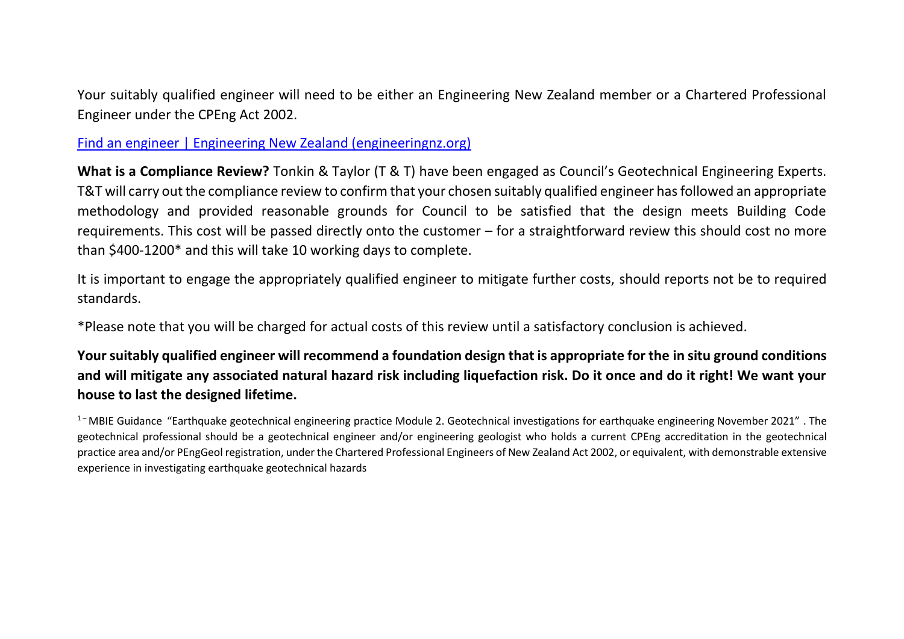Your suitably qualified engineer will need to be either an Engineering New Zealand member or a Chartered Professional Engineer under the CPEng Act 2002.

[Find an engineer | Engineering New Zealand \(engineeringnz.org\)](https://www.engineeringnz.org/public-tools/find-engineer/)

**What is a Compliance Review?** Tonkin & Taylor (T & T) have been engaged as Council's Geotechnical Engineering Experts. T&T will carry out the compliance review to confirm that your chosen suitably qualified engineer has followed an appropriate methodology and provided reasonable grounds for Council to be satisfied that the design meets Building Code requirements. This cost will be passed directly onto the customer – for a straightforward review this should cost no more than \$400-1200\* and this will take 10 working days to complete.

It is important to engage the appropriately qualified engineer to mitigate further costs, should reports not be to required standards.

\*Please note that you will be charged for actual costs of this review until a satisfactory conclusion is achieved.

**Your suitably qualified engineer will recommend a foundation design that is appropriate for the in situ ground conditions and will mitigate any associated natural hazard risk including liquefaction risk. Do it once and do it right! We want your house to last the designed lifetime.**

 $1$ <sup>-</sup> MBIE Guidance "Earthquake geotechnical engineering practice Module 2. Geotechnical investigations for earthquake engineering November 2021". The geotechnical professional should be a geotechnical engineer and/or engineering geologist who holds a current CPEng accreditation in the geotechnical practice area and/or PEngGeol registration, under the Chartered Professional Engineers of New Zealand Act 2002, or equivalent, with demonstrable extensive experience in investigating earthquake geotechnical hazards